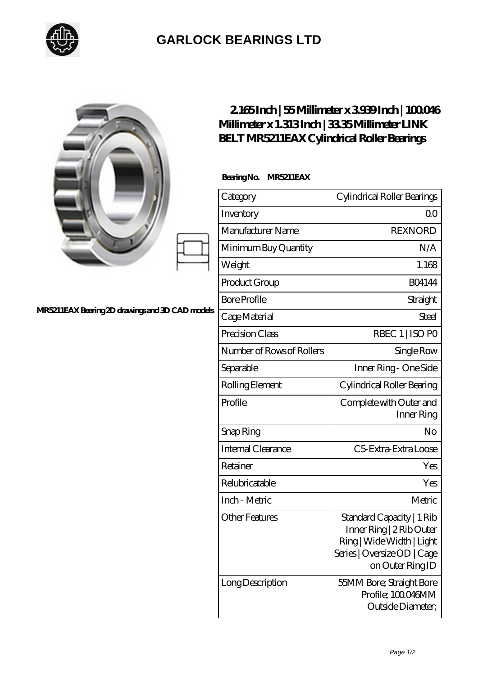

## **[GARLOCK BEARINGS LTD](https://m.letterstopriests.com)**

|                                                | 2165Inch   55Millimeter x 3939Inch   100046<br>Millimeter x 1.313Inch   3335Millimeter LINK<br>BELT MR5211EAX Cylindrical Roller Bearings |                                                                                                                                       |
|------------------------------------------------|-------------------------------------------------------------------------------------------------------------------------------------------|---------------------------------------------------------------------------------------------------------------------------------------|
| MR5211EAXBearing 2D drawings and 3D CAD models | BearingNo.<br>MR5211EAX                                                                                                                   |                                                                                                                                       |
|                                                | Category                                                                                                                                  | Cylindrical Roller Bearings                                                                                                           |
|                                                | Inventory                                                                                                                                 | 0 <sup>0</sup>                                                                                                                        |
|                                                | Manufacturer Name                                                                                                                         | <b>REXNORD</b>                                                                                                                        |
|                                                | Minimum Buy Quantity                                                                                                                      | N/A                                                                                                                                   |
|                                                | Weight                                                                                                                                    | 1.168                                                                                                                                 |
|                                                | Product Group                                                                                                                             | <b>BO4144</b>                                                                                                                         |
|                                                | <b>Bore Profile</b>                                                                                                                       | Straight                                                                                                                              |
|                                                | Cage Material                                                                                                                             | Steel                                                                                                                                 |
|                                                | Precision Class                                                                                                                           | RBEC 1   ISO PO                                                                                                                       |
|                                                | Number of Rows of Rollers                                                                                                                 | Single Row                                                                                                                            |
|                                                | Separable                                                                                                                                 | Inner Ring - One Side                                                                                                                 |
|                                                | Rolling Element                                                                                                                           | Cylindrical Roller Bearing                                                                                                            |
|                                                | Profile                                                                                                                                   | Complete with Outer and<br>Inner Ring                                                                                                 |
|                                                | Snap Ring                                                                                                                                 | No                                                                                                                                    |
|                                                | Internal Clearance                                                                                                                        | C5 Extra Extra Loose                                                                                                                  |
|                                                | Retainer                                                                                                                                  | Yes                                                                                                                                   |
|                                                | Relubricatable                                                                                                                            | Yes                                                                                                                                   |
|                                                | Inch - Metric                                                                                                                             | Metric                                                                                                                                |
|                                                | <b>Other Features</b>                                                                                                                     | Standard Capacity   1 Rib<br>Inner Ring   2 Rib Outer<br>Ring   Wide Width   Light<br>Series   Oversize OD   Cage<br>on Outer Ring ID |
|                                                | Long Description                                                                                                                          | 55MM Bore; Straight Bore<br>Profile; 100046MM<br>Outside Diameter;                                                                    |